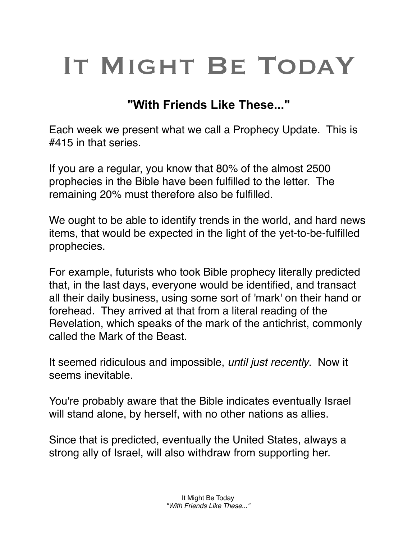## IT MIGHT BE TODAY

## **"With Friends Like These..."**

Each week we present what we call a Prophecy Update. This is #415 in that series.

If you are a regular, you know that 80% of the almost 2500 prophecies in the Bible have been fulfilled to the letter. The remaining 20% must therefore also be fulfilled.

We ought to be able to identify trends in the world, and hard news items, that would be expected in the light of the yet-to-be-fulfilled prophecies.

For example, futurists who took Bible prophecy literally predicted that, in the last days, everyone would be identified, and transact all their daily business, using some sort of 'mark' on their hand or forehead. They arrived at that from a literal reading of the Revelation, which speaks of the mark of the antichrist, commonly called the Mark of the Beast.

It seemed ridiculous and impossible, *until just recently*. Now it seems inevitable.

You're probably aware that the Bible indicates eventually Israel will stand alone, by herself, with no other nations as allies.

Since that is predicted, eventually the United States, always a strong ally of Israel, will also withdraw from supporting her.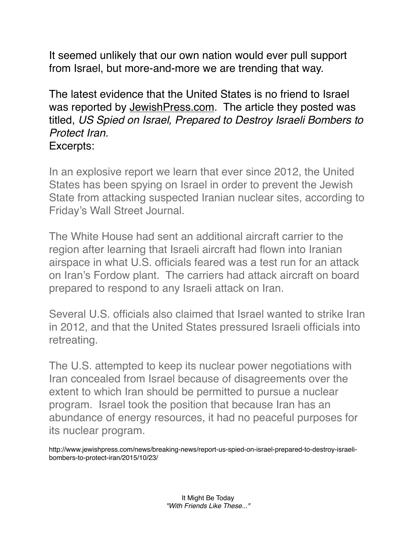It seemed unlikely that our own nation would ever pull support from Israel, but more-and-more we are trending that way.

The latest evidence that the United States is no friend to Israel was reported by [JewishPress.com.](http://jewishpress.com) The article they posted was titled, *US Spied on Israel, Prepared to Destroy Israeli Bombers to Protect Iran.* Excerpts:

In an explosive report we learn that ever since 2012, the United States has been spying on Israel in order to prevent the Jewish State from attacking suspected Iranian nuclear sites, according to Friday's Wall Street Journal.

The White House had sent an additional aircraft carrier to the region after learning that Israeli aircraft had flown into Iranian airspace in what U.S. officials feared was a test run for an attack on Iran's Fordow plant. The carriers had attack aircraft on board prepared to respond to any Israeli attack on Iran.

Several U.S. officials also claimed that Israel wanted to strike Iran in 2012, and that the United States pressured Israeli officials into retreating.

The U.S. attempted to keep its nuclear power negotiations with Iran concealed from Israel because of disagreements over the extent to which Iran should be permitted to pursue a nuclear program. Israel took the position that because Iran has an abundance of energy resources, it had no peaceful purposes for its nuclear program.

http://www.jewishpress.com/news/breaking-news/report-us-spied-on-israel-prepared-to-destroy-israelibombers-to-protect-iran/2015/10/23/